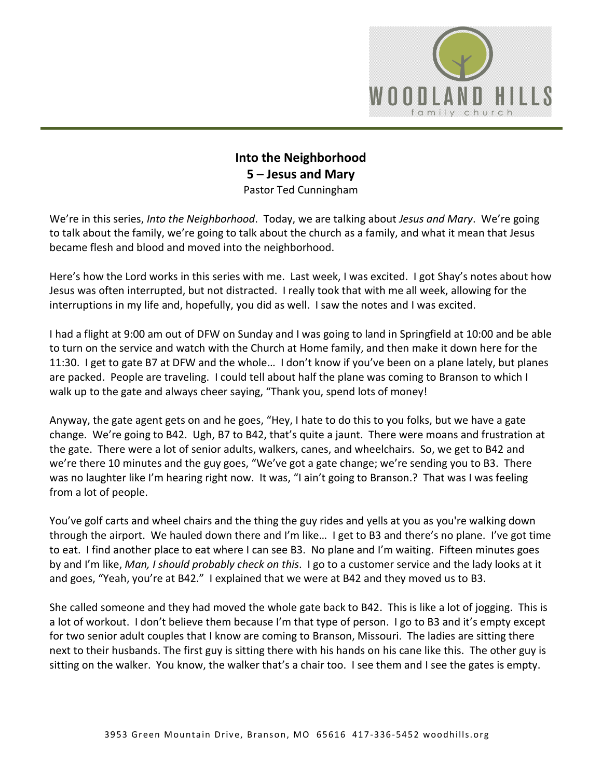

## **Into the Neighborhood 5 – Jesus and Mary** Pastor Ted Cunningham

We're in this series, *Into the Neighborhood*. Today, we are talking about *Jesus and Mary*. We're going to talk about the family, we're going to talk about the church as a family, and what it mean that Jesus became flesh and blood and moved into the neighborhood.

Here's how the Lord works in this series with me. Last week, I was excited. I got Shay's notes about how Jesus was often interrupted, but not distracted. I really took that with me all week, allowing for the interruptions in my life and, hopefully, you did as well. I saw the notes and I was excited.

I had a flight at 9:00 am out of DFW on Sunday and I was going to land in Springfield at 10:00 and be able to turn on the service and watch with the Church at Home family, and then make it down here for the 11:30. I get to gate B7 at DFW and the whole… I don't know if you've been on a plane lately, but planes are packed. People are traveling. I could tell about half the plane was coming to Branson to which I walk up to the gate and always cheer saying, "Thank you, spend lots of money!

Anyway, the gate agent gets on and he goes, "Hey, I hate to do this to you folks, but we have a gate change. We're going to B42. Ugh, B7 to B42, that's quite a jaunt. There were moans and frustration at the gate. There were a lot of senior adults, walkers, canes, and wheelchairs. So, we get to B42 and we're there 10 minutes and the guy goes, "We've got a gate change; we're sending you to B3. There was no laughter like I'm hearing right now. It was, "I ain't going to Branson.? That was I was feeling from a lot of people.

You've golf carts and wheel chairs and the thing the guy rides and yells at you as you're walking down through the airport. We hauled down there and I'm like… I get to B3 and there's no plane. I've got time to eat. I find another place to eat where I can see B3. No plane and I'm waiting. Fifteen minutes goes by and I'm like, *Man, I should probably check on this*. I go to a customer service and the lady looks at it and goes, "Yeah, you're at B42." I explained that we were at B42 and they moved us to B3.

She called someone and they had moved the whole gate back to B42. This is like a lot of jogging. This is a lot of workout. I don't believe them because I'm that type of person. I go to B3 and it's empty except for two senior adult couples that I know are coming to Branson, Missouri. The ladies are sitting there next to their husbands. The first guy is sitting there with his hands on his cane like this. The other guy is sitting on the walker. You know, the walker that's a chair too. I see them and I see the gates is empty.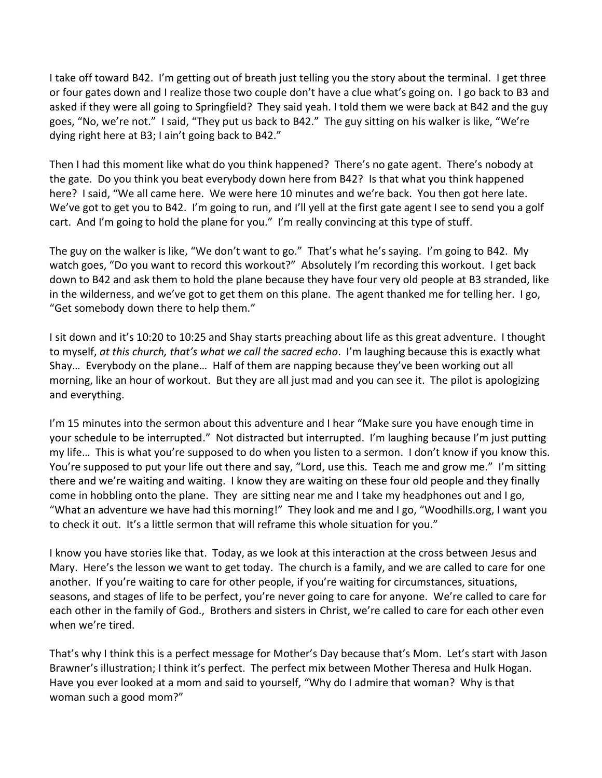I take off toward B42. I'm getting out of breath just telling you the story about the terminal. I get three or four gates down and I realize those two couple don't have a clue what's going on. I go back to B3 and asked if they were all going to Springfield? They said yeah. I told them we were back at B42 and the guy goes, "No, we're not." I said, "They put us back to B42." The guy sitting on his walker is like, "We're dying right here at B3; I ain't going back to B42."

Then I had this moment like what do you think happened? There's no gate agent. There's nobody at the gate. Do you think you beat everybody down here from B42? Is that what you think happened here? I said, "We all came here. We were here 10 minutes and we're back. You then got here late. We've got to get you to B42. I'm going to run, and I'll yell at the first gate agent I see to send you a golf cart. And I'm going to hold the plane for you." I'm really convincing at this type of stuff.

The guy on the walker is like, "We don't want to go." That's what he's saying. I'm going to B42. My watch goes, "Do you want to record this workout?" Absolutely I'm recording this workout. I get back down to B42 and ask them to hold the plane because they have four very old people at B3 stranded, like in the wilderness, and we've got to get them on this plane. The agent thanked me for telling her. I go, "Get somebody down there to help them."

I sit down and it's 10:20 to 10:25 and Shay starts preaching about life as this great adventure. I thought to myself, *at this church, that's what we call the sacred echo*. I'm laughing because this is exactly what Shay… Everybody on the plane… Half of them are napping because they've been working out all morning, like an hour of workout. But they are all just mad and you can see it. The pilot is apologizing and everything.

I'm 15 minutes into the sermon about this adventure and I hear "Make sure you have enough time in your schedule to be interrupted." Not distracted but interrupted. I'm laughing because I'm just putting my life… This is what you're supposed to do when you listen to a sermon. I don't know if you know this. You're supposed to put your life out there and say, "Lord, use this. Teach me and grow me." I'm sitting there and we're waiting and waiting. I know they are waiting on these four old people and they finally come in hobbling onto the plane. They are sitting near me and I take my headphones out and I go, "What an adventure we have had this morning!" They look and me and I go, "Woodhills.org, I want you to check it out. It's a little sermon that will reframe this whole situation for you."

I know you have stories like that. Today, as we look at this interaction at the cross between Jesus and Mary. Here's the lesson we want to get today. The church is a family, and we are called to care for one another. If you're waiting to care for other people, if you're waiting for circumstances, situations, seasons, and stages of life to be perfect, you're never going to care for anyone. We're called to care for each other in the family of God., Brothers and sisters in Christ, we're called to care for each other even when we're tired.

That's why I think this is a perfect message for Mother's Day because that's Mom. Let's start with Jason Brawner's illustration; I think it's perfect. The perfect mix between Mother Theresa and Hulk Hogan. Have you ever looked at a mom and said to yourself, "Why do I admire that woman? Why is that woman such a good mom?"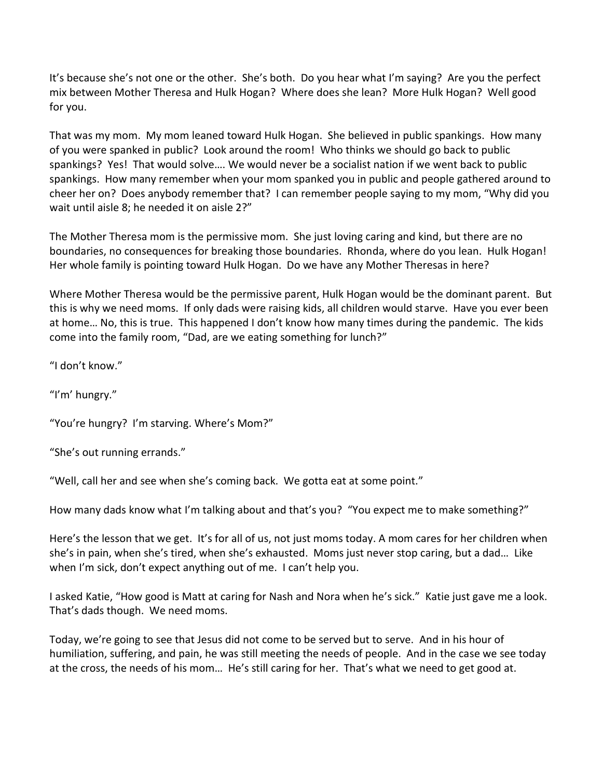It's because she's not one or the other. She's both. Do you hear what I'm saying? Are you the perfect mix between Mother Theresa and Hulk Hogan? Where does she lean? More Hulk Hogan? Well good for you.

That was my mom. My mom leaned toward Hulk Hogan. She believed in public spankings. How many of you were spanked in public? Look around the room! Who thinks we should go back to public spankings? Yes! That would solve…. We would never be a socialist nation if we went back to public spankings. How many remember when your mom spanked you in public and people gathered around to cheer her on? Does anybody remember that? I can remember people saying to my mom, "Why did you wait until aisle 8; he needed it on aisle 2?"

The Mother Theresa mom is the permissive mom. She just loving caring and kind, but there are no boundaries, no consequences for breaking those boundaries. Rhonda, where do you lean. Hulk Hogan! Her whole family is pointing toward Hulk Hogan. Do we have any Mother Theresas in here?

Where Mother Theresa would be the permissive parent, Hulk Hogan would be the dominant parent. But this is why we need moms. If only dads were raising kids, all children would starve. Have you ever been at home… No, this is true. This happened I don't know how many times during the pandemic. The kids come into the family room, "Dad, are we eating something for lunch?"

"I don't know."

"I'm' hungry."

"You're hungry? I'm starving. Where's Mom?"

"She's out running errands."

"Well, call her and see when she's coming back. We gotta eat at some point."

How many dads know what I'm talking about and that's you? "You expect me to make something?"

Here's the lesson that we get. It's for all of us, not just moms today. A mom cares for her children when she's in pain, when she's tired, when she's exhausted. Moms just never stop caring, but a dad… Like when I'm sick, don't expect anything out of me. I can't help you.

I asked Katie, "How good is Matt at caring for Nash and Nora when he's sick." Katie just gave me a look. That's dads though. We need moms.

Today, we're going to see that Jesus did not come to be served but to serve. And in his hour of humiliation, suffering, and pain, he was still meeting the needs of people. And in the case we see today at the cross, the needs of his mom… He's still caring for her. That's what we need to get good at.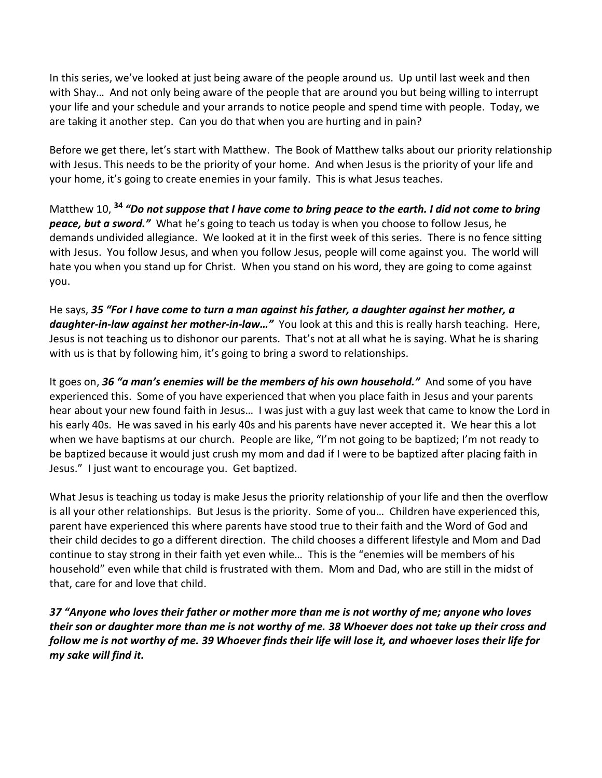In this series, we've looked at just being aware of the people around us. Up until last week and then with Shay… And not only being aware of the people that are around you but being willing to interrupt your life and your schedule and your arrands to notice people and spend time with people. Today, we are taking it another step. Can you do that when you are hurting and in pain?

Before we get there, let's start with Matthew. The Book of Matthew talks about our priority relationship with Jesus. This needs to be the priority of your home. And when Jesus is the priority of your life and your home, it's going to create enemies in your family. This is what Jesus teaches.

Matthew 10, **<sup>34</sup>** *"Do not suppose that I have come to bring peace to the earth. I did not come to bring peace, but a sword."* What he's going to teach us today is when you choose to follow Jesus, he demands undivided allegiance. We looked at it in the first week of this series. There is no fence sitting with Jesus. You follow Jesus, and when you follow Jesus, people will come against you. The world will hate you when you stand up for Christ. When you stand on his word, they are going to come against you.

He says, *35 "For I have come to turn a man against his father, a daughter against her mother, a daughter-in-law against her mother-in-law…"* You look at this and this is really harsh teaching. Here, Jesus is not teaching us to dishonor our parents. That's not at all what he is saying. What he is sharing with us is that by following him, it's going to bring a sword to relationships.

It goes on, *36 "a man's enemies will be the members of his own household."* And some of you have experienced this. Some of you have experienced that when you place faith in Jesus and your parents hear about your new found faith in Jesus… I was just with a guy last week that came to know the Lord in his early 40s. He was saved in his early 40s and his parents have never accepted it. We hear this a lot when we have baptisms at our church. People are like, "I'm not going to be baptized; I'm not ready to be baptized because it would just crush my mom and dad if I were to be baptized after placing faith in Jesus." I just want to encourage you. Get baptized.

What Jesus is teaching us today is make Jesus the priority relationship of your life and then the overflow is all your other relationships. But Jesus is the priority. Some of you… Children have experienced this, parent have experienced this where parents have stood true to their faith and the Word of God and their child decides to go a different direction. The child chooses a different lifestyle and Mom and Dad continue to stay strong in their faith yet even while… This is the "enemies will be members of his household" even while that child is frustrated with them. Mom and Dad, who are still in the midst of that, care for and love that child.

*37 "Anyone who loves their father or mother more than me is not worthy of me; anyone who loves their son or daughter more than me is not worthy of me. 38 Whoever does not take up their cross and follow me is not worthy of me. 39 Whoever finds their life will lose it, and whoever loses their life for my sake will find it.*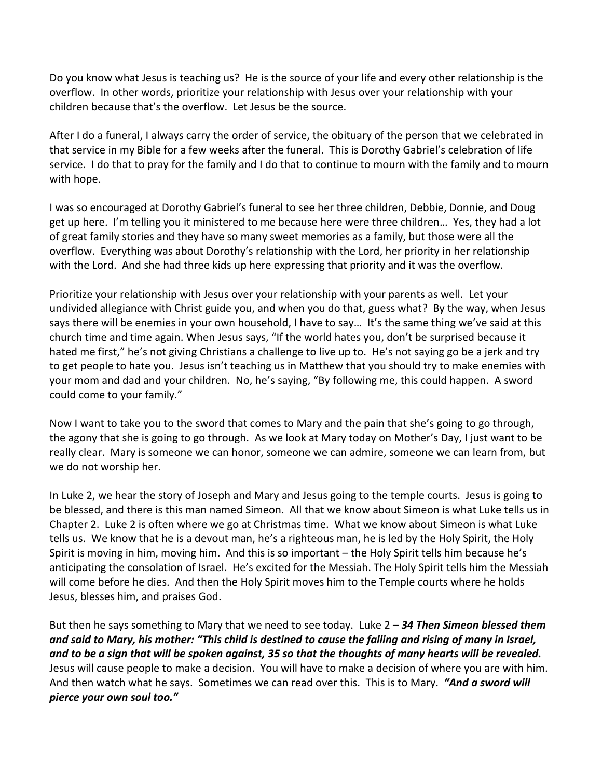Do you know what Jesus is teaching us? He is the source of your life and every other relationship is the overflow. In other words, prioritize your relationship with Jesus over your relationship with your children because that's the overflow. Let Jesus be the source.

After I do a funeral, I always carry the order of service, the obituary of the person that we celebrated in that service in my Bible for a few weeks after the funeral. This is Dorothy Gabriel's celebration of life service. I do that to pray for the family and I do that to continue to mourn with the family and to mourn with hope.

I was so encouraged at Dorothy Gabriel's funeral to see her three children, Debbie, Donnie, and Doug get up here. I'm telling you it ministered to me because here were three children… Yes, they had a lot of great family stories and they have so many sweet memories as a family, but those were all the overflow. Everything was about Dorothy's relationship with the Lord, her priority in her relationship with the Lord. And she had three kids up here expressing that priority and it was the overflow.

Prioritize your relationship with Jesus over your relationship with your parents as well. Let your undivided allegiance with Christ guide you, and when you do that, guess what? By the way, when Jesus says there will be enemies in your own household, I have to say… It's the same thing we've said at this church time and time again. When Jesus says, "If the world hates you, don't be surprised because it hated me first," he's not giving Christians a challenge to live up to. He's not saying go be a jerk and try to get people to hate you. Jesus isn't teaching us in Matthew that you should try to make enemies with your mom and dad and your children. No, he's saying, "By following me, this could happen. A sword could come to your family."

Now I want to take you to the sword that comes to Mary and the pain that she's going to go through, the agony that she is going to go through. As we look at Mary today on Mother's Day, I just want to be really clear. Mary is someone we can honor, someone we can admire, someone we can learn from, but we do not worship her.

In Luke 2, we hear the story of Joseph and Mary and Jesus going to the temple courts. Jesus is going to be blessed, and there is this man named Simeon. All that we know about Simeon is what Luke tells us in Chapter 2. Luke 2 is often where we go at Christmas time. What we know about Simeon is what Luke tells us. We know that he is a devout man, he's a righteous man, he is led by the Holy Spirit, the Holy Spirit is moving in him, moving him. And this is so important – the Holy Spirit tells him because he's anticipating the consolation of Israel. He's excited for the Messiah. The Holy Spirit tells him the Messiah will come before he dies. And then the Holy Spirit moves him to the Temple courts where he holds Jesus, blesses him, and praises God.

But then he says something to Mary that we need to see today. Luke 2 – *34 Then Simeon blessed them and said to Mary, his mother: "This child is destined to cause the falling and rising of many in Israel, and to be a sign that will be spoken against, 35 so that the thoughts of many hearts will be revealed.* Jesus will cause people to make a decision. You will have to make a decision of where you are with him. And then watch what he says. Sometimes we can read over this. This is to Mary. *"And a sword will pierce your own soul too."*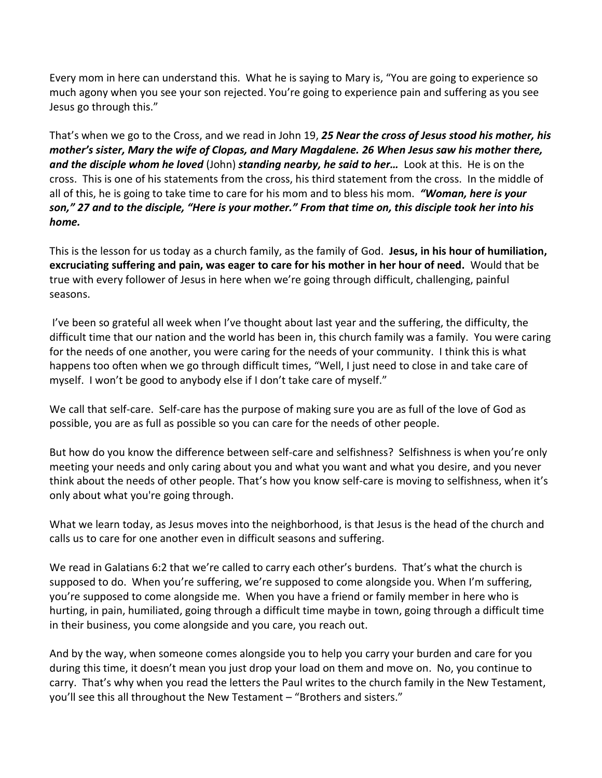Every mom in here can understand this. What he is saying to Mary is, "You are going to experience so much agony when you see your son rejected. You're going to experience pain and suffering as you see Jesus go through this."

That's when we go to the Cross, and we read in John 19, *25 Near the cross of Jesus stood his mother, his mother's sister, Mary the wife of Clopas, and Mary Magdalene. 26 When Jesus saw his mother there, and the disciple whom he loved* (John) *standing nearby, he said to her…* Look at this. He is on the cross. This is one of his statements from the cross, his third statement from the cross. In the middle of all of this, he is going to take time to care for his mom and to bless his mom. *"Woman, here is your son," 27 and to the disciple, "Here is your mother." From that time on, this disciple took her into his home.*

This is the lesson for us today as a church family, as the family of God. **Jesus, in his hour of humiliation, excruciating suffering and pain, was eager to care for his mother in her hour of need.** Would that be true with every follower of Jesus in here when we're going through difficult, challenging, painful seasons.

I've been so grateful all week when I've thought about last year and the suffering, the difficulty, the difficult time that our nation and the world has been in, this church family was a family. You were caring for the needs of one another, you were caring for the needs of your community. I think this is what happens too often when we go through difficult times, "Well, I just need to close in and take care of myself. I won't be good to anybody else if I don't take care of myself."

We call that self-care. Self-care has the purpose of making sure you are as full of the love of God as possible, you are as full as possible so you can care for the needs of other people.

But how do you know the difference between self-care and selfishness? Selfishness is when you're only meeting your needs and only caring about you and what you want and what you desire, and you never think about the needs of other people. That's how you know self-care is moving to selfishness, when it's only about what you're going through.

What we learn today, as Jesus moves into the neighborhood, is that Jesus is the head of the church and calls us to care for one another even in difficult seasons and suffering.

We read in Galatians 6:2 that we're called to carry each other's burdens. That's what the church is supposed to do. When you're suffering, we're supposed to come alongside you. When I'm suffering, you're supposed to come alongside me. When you have a friend or family member in here who is hurting, in pain, humiliated, going through a difficult time maybe in town, going through a difficult time in their business, you come alongside and you care, you reach out.

And by the way, when someone comes alongside you to help you carry your burden and care for you during this time, it doesn't mean you just drop your load on them and move on. No, you continue to carry. That's why when you read the letters the Paul writes to the church family in the New Testament, you'll see this all throughout the New Testament – "Brothers and sisters."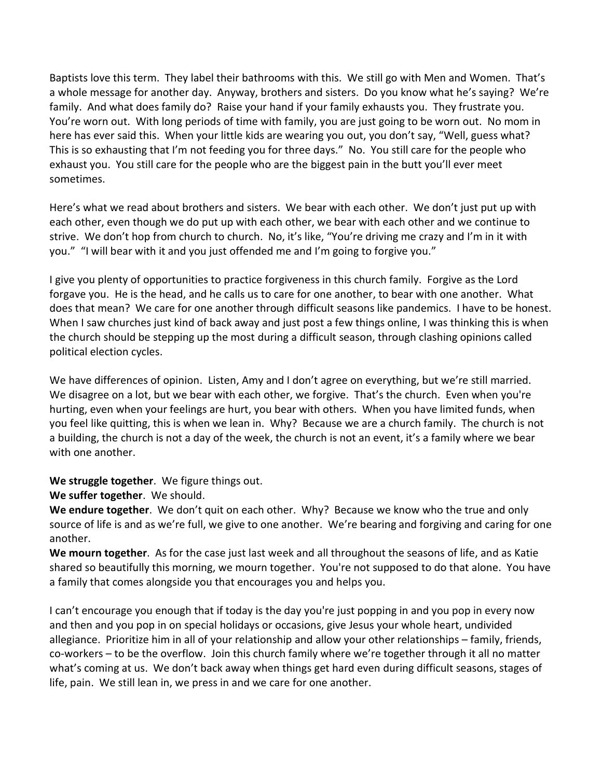Baptists love this term. They label their bathrooms with this. We still go with Men and Women. That's a whole message for another day. Anyway, brothers and sisters. Do you know what he's saying? We're family. And what does family do? Raise your hand if your family exhausts you. They frustrate you. You're worn out. With long periods of time with family, you are just going to be worn out. No mom in here has ever said this. When your little kids are wearing you out, you don't say, "Well, guess what? This is so exhausting that I'm not feeding you for three days." No. You still care for the people who exhaust you. You still care for the people who are the biggest pain in the butt you'll ever meet sometimes.

Here's what we read about brothers and sisters. We bear with each other. We don't just put up with each other, even though we do put up with each other, we bear with each other and we continue to strive. We don't hop from church to church. No, it's like, "You're driving me crazy and I'm in it with you." "I will bear with it and you just offended me and I'm going to forgive you."

I give you plenty of opportunities to practice forgiveness in this church family. Forgive as the Lord forgave you. He is the head, and he calls us to care for one another, to bear with one another. What does that mean? We care for one another through difficult seasons like pandemics. I have to be honest. When I saw churches just kind of back away and just post a few things online, I was thinking this is when the church should be stepping up the most during a difficult season, through clashing opinions called political election cycles.

We have differences of opinion. Listen, Amy and I don't agree on everything, but we're still married. We disagree on a lot, but we bear with each other, we forgive. That's the church. Even when you're hurting, even when your feelings are hurt, you bear with others. When you have limited funds, when you feel like quitting, this is when we lean in. Why? Because we are a church family. The church is not a building, the church is not a day of the week, the church is not an event, it's a family where we bear with one another.

**We struggle together**. We figure things out.

**We suffer together**. We should.

**We endure together**. We don't quit on each other. Why? Because we know who the true and only source of life is and as we're full, we give to one another. We're bearing and forgiving and caring for one another.

**We mourn together**. As for the case just last week and all throughout the seasons of life, and as Katie shared so beautifully this morning, we mourn together. You're not supposed to do that alone. You have a family that comes alongside you that encourages you and helps you.

I can't encourage you enough that if today is the day you're just popping in and you pop in every now and then and you pop in on special holidays or occasions, give Jesus your whole heart, undivided allegiance. Prioritize him in all of your relationship and allow your other relationships – family, friends, co-workers – to be the overflow. Join this church family where we're together through it all no matter what's coming at us. We don't back away when things get hard even during difficult seasons, stages of life, pain. We still lean in, we press in and we care for one another.